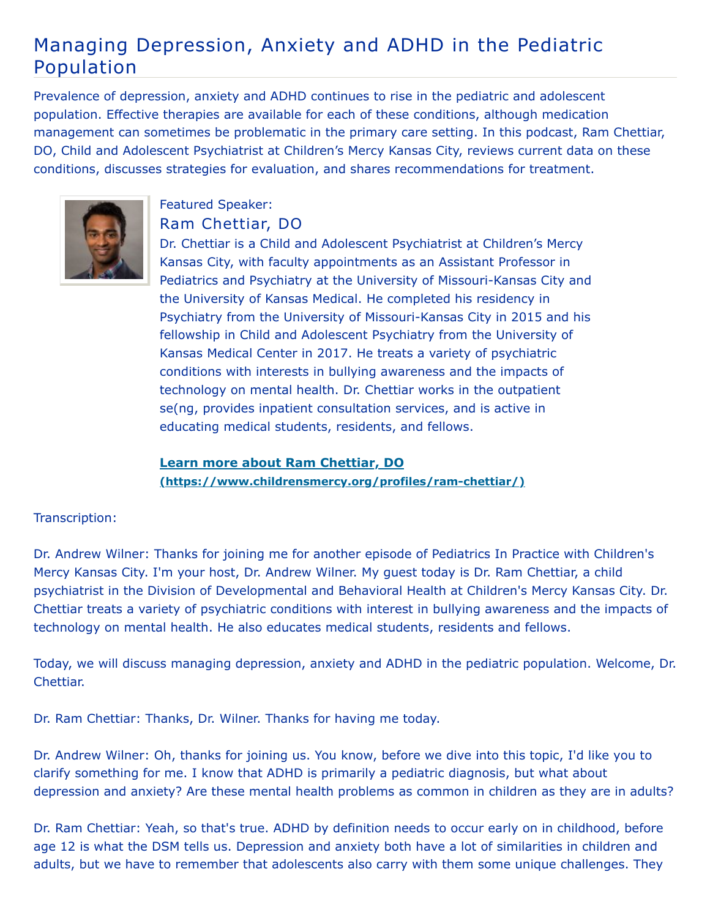## Managing Depression, Anxiety and ADHD in the Pediatric Population

Prevalence of depression, anxiety and ADHD continues to rise in the pediatric and adolescent population. Effective therapies are available for each of these conditions, although medication management can sometimes be problematic in the primary care setting. In this podcast, Ram Chettiar, DO, Child and Adolescent Psychiatrist at Children's Mercy Kansas City, reviews current data on these conditions, discusses strategies for evaluation, and shares recommendations for treatment.



## Featured Speaker: Ram Chettiar, DO

Dr. Chettiar is a Child and Adolescent Psychiatrist at Children's Mercy Kansas City, with faculty appointments as an Assistant Professor in Pediatrics and Psychiatry at the University of Missouri-Kansas City and the University of Kansas Medical. He completed his residency in Psychiatry from the University of Missouri-Kansas City in 2015 and his fellowship in Child and Adolescent Psychiatry from the University of Kansas Medical Center in 2017. He treats a variety of psychiatric conditions with interests in bullying awareness and the impacts of technology on mental health. Dr. Chettiar works in the outpatient se(ng, provides inpatient consultation services, and is active in educating medical students, residents, and fellows.

**Learn more about Ram Chettiar, DO [\(https://www.childrensmercy.org/profiles/ram-chettiar/\)](https://www.childrensmercy.org/profiles/ram-chettiar/)**

## Transcription:

Dr. Andrew Wilner: Thanks for joining me for another episode of Pediatrics In Practice with Children's Mercy Kansas City. I'm your host, Dr. Andrew Wilner. My guest today is Dr. Ram Chettiar, a child psychiatrist in the Division of Developmental and Behavioral Health at Children's Mercy Kansas City. Dr. Chettiar treats a variety of psychiatric conditions with interest in bullying awareness and the impacts of technology on mental health. He also educates medical students, residents and fellows.

Today, we will discuss managing depression, anxiety and ADHD in the pediatric population. Welcome, Dr. Chettiar.

Dr. Ram Chettiar: Thanks, Dr. Wilner. Thanks for having me today.

Dr. Andrew Wilner: Oh, thanks for joining us. You know, before we dive into this topic, I'd like you to clarify something for me. I know that ADHD is primarily a pediatric diagnosis, but what about depression and anxiety? Are these mental health problems as common in children as they are in adults?

Dr. Ram Chettiar: Yeah, so that's true. ADHD by definition needs to occur early on in childhood, before age 12 is what the DSM tells us. Depression and anxiety both have a lot of similarities in children and adults, but we have to remember that adolescents also carry with them some unique challenges. They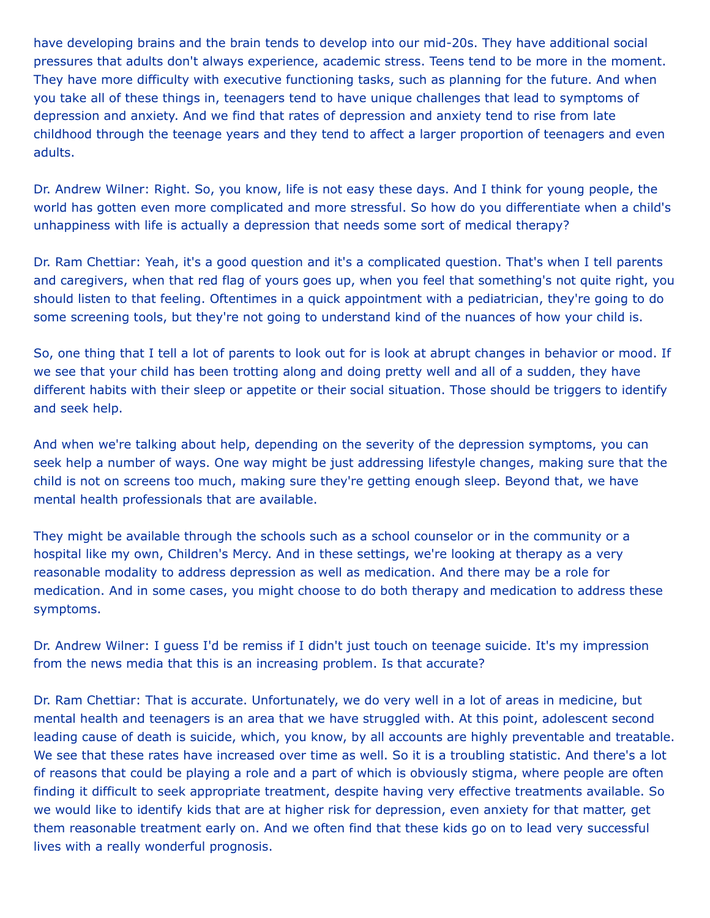have developing brains and the brain tends to develop into our mid-20s. They have additional social pressures that adults don't always experience, academic stress. Teens tend to be more in the moment. They have more difficulty with executive functioning tasks, such as planning for the future. And when you take all of these things in, teenagers tend to have unique challenges that lead to symptoms of depression and anxiety. And we find that rates of depression and anxiety tend to rise from late childhood through the teenage years and they tend to affect a larger proportion of teenagers and even adults.

Dr. Andrew Wilner: Right. So, you know, life is not easy these days. And I think for young people, the world has gotten even more complicated and more stressful. So how do you differentiate when a child's unhappiness with life is actually a depression that needs some sort of medical therapy?

Dr. Ram Chettiar: Yeah, it's a good question and it's a complicated question. That's when I tell parents and caregivers, when that red flag of yours goes up, when you feel that something's not quite right, you should listen to that feeling. Oftentimes in a quick appointment with a pediatrician, they're going to do some screening tools, but they're not going to understand kind of the nuances of how your child is.

So, one thing that I tell a lot of parents to look out for is look at abrupt changes in behavior or mood. If we see that your child has been trotting along and doing pretty well and all of a sudden, they have different habits with their sleep or appetite or their social situation. Those should be triggers to identify and seek help.

And when we're talking about help, depending on the severity of the depression symptoms, you can seek help a number of ways. One way might be just addressing lifestyle changes, making sure that the child is not on screens too much, making sure they're getting enough sleep. Beyond that, we have mental health professionals that are available.

They might be available through the schools such as a school counselor or in the community or a hospital like my own, Children's Mercy. And in these settings, we're looking at therapy as a very reasonable modality to address depression as well as medication. And there may be a role for medication. And in some cases, you might choose to do both therapy and medication to address these symptoms.

Dr. Andrew Wilner: I guess I'd be remiss if I didn't just touch on teenage suicide. It's my impression from the news media that this is an increasing problem. Is that accurate?

Dr. Ram Chettiar: That is accurate. Unfortunately, we do very well in a lot of areas in medicine, but mental health and teenagers is an area that we have struggled with. At this point, adolescent second leading cause of death is suicide, which, you know, by all accounts are highly preventable and treatable. We see that these rates have increased over time as well. So it is a troubling statistic. And there's a lot of reasons that could be playing a role and a part of which is obviously stigma, where people are often finding it difficult to seek appropriate treatment, despite having very effective treatments available. So we would like to identify kids that are at higher risk for depression, even anxiety for that matter, get them reasonable treatment early on. And we often find that these kids go on to lead very successful lives with a really wonderful prognosis.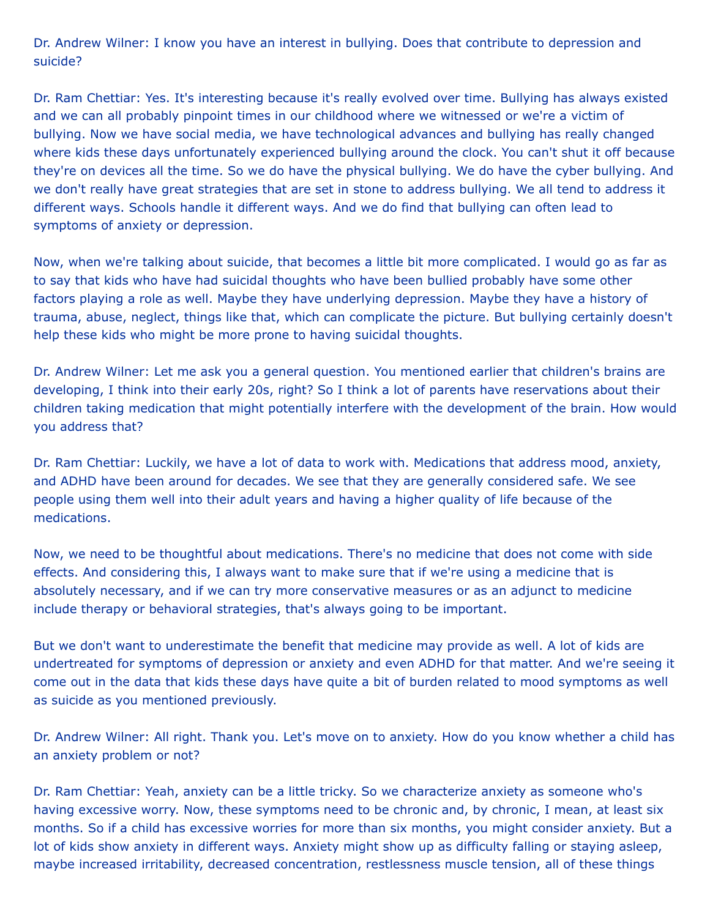Dr. Andrew Wilner: I know you have an interest in bullying. Does that contribute to depression and suicide?

Dr. Ram Chettiar: Yes. It's interesting because it's really evolved over time. Bullying has always existed and we can all probably pinpoint times in our childhood where we witnessed or we're a victim of bullying. Now we have social media, we have technological advances and bullying has really changed where kids these days unfortunately experienced bullying around the clock. You can't shut it off because they're on devices all the time. So we do have the physical bullying. We do have the cyber bullying. And we don't really have great strategies that are set in stone to address bullying. We all tend to address it different ways. Schools handle it different ways. And we do find that bullying can often lead to symptoms of anxiety or depression.

Now, when we're talking about suicide, that becomes a little bit more complicated. I would go as far as to say that kids who have had suicidal thoughts who have been bullied probably have some other factors playing a role as well. Maybe they have underlying depression. Maybe they have a history of trauma, abuse, neglect, things like that, which can complicate the picture. But bullying certainly doesn't help these kids who might be more prone to having suicidal thoughts.

Dr. Andrew Wilner: Let me ask you a general question. You mentioned earlier that children's brains are developing, I think into their early 20s, right? So I think a lot of parents have reservations about their children taking medication that might potentially interfere with the development of the brain. How would you address that?

Dr. Ram Chettiar: Luckily, we have a lot of data to work with. Medications that address mood, anxiety, and ADHD have been around for decades. We see that they are generally considered safe. We see people using them well into their adult years and having a higher quality of life because of the medications.

Now, we need to be thoughtful about medications. There's no medicine that does not come with side effects. And considering this, I always want to make sure that if we're using a medicine that is absolutely necessary, and if we can try more conservative measures or as an adjunct to medicine include therapy or behavioral strategies, that's always going to be important.

But we don't want to underestimate the benefit that medicine may provide as well. A lot of kids are undertreated for symptoms of depression or anxiety and even ADHD for that matter. And we're seeing it come out in the data that kids these days have quite a bit of burden related to mood symptoms as well as suicide as you mentioned previously.

Dr. Andrew Wilner: All right. Thank you. Let's move on to anxiety. How do you know whether a child has an anxiety problem or not?

Dr. Ram Chettiar: Yeah, anxiety can be a little tricky. So we characterize anxiety as someone who's having excessive worry. Now, these symptoms need to be chronic and, by chronic, I mean, at least six months. So if a child has excessive worries for more than six months, you might consider anxiety. But a lot of kids show anxiety in different ways. Anxiety might show up as difficulty falling or staying asleep, maybe increased irritability, decreased concentration, restlessness muscle tension, all of these things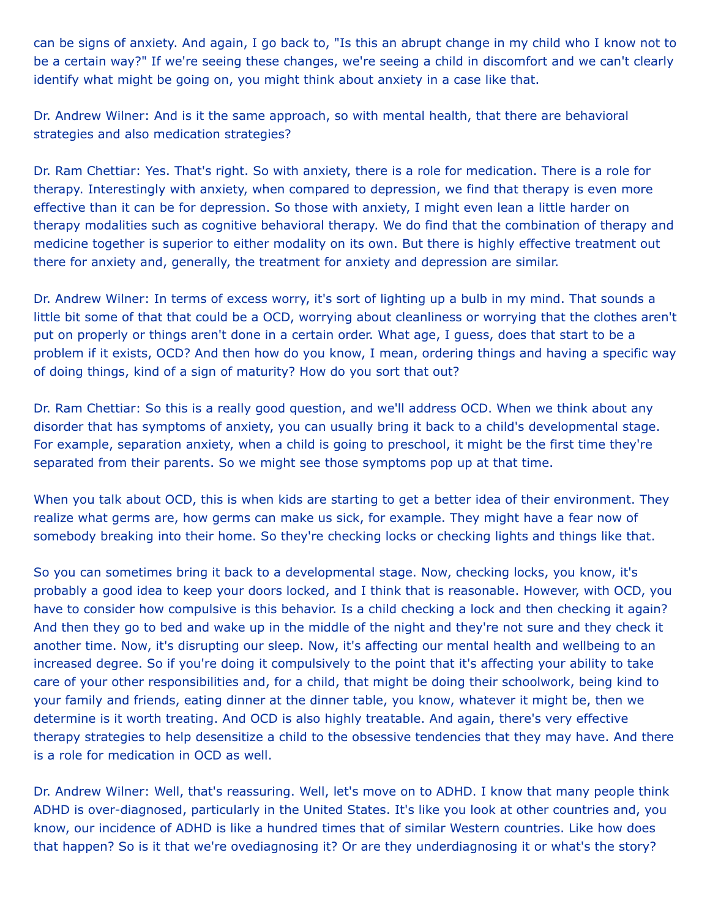can be signs of anxiety. And again, I go back to, "Is this an abrupt change in my child who I know not to be a certain way?" If we're seeing these changes, we're seeing a child in discomfort and we can't clearly identify what might be going on, you might think about anxiety in a case like that.

Dr. Andrew Wilner: And is it the same approach, so with mental health, that there are behavioral strategies and also medication strategies?

Dr. Ram Chettiar: Yes. That's right. So with anxiety, there is a role for medication. There is a role for therapy. Interestingly with anxiety, when compared to depression, we find that therapy is even more effective than it can be for depression. So those with anxiety, I might even lean a little harder on therapy modalities such as cognitive behavioral therapy. We do find that the combination of therapy and medicine together is superior to either modality on its own. But there is highly effective treatment out there for anxiety and, generally, the treatment for anxiety and depression are similar.

Dr. Andrew Wilner: In terms of excess worry, it's sort of lighting up a bulb in my mind. That sounds a little bit some of that that could be a OCD, worrying about cleanliness or worrying that the clothes aren't put on properly or things aren't done in a certain order. What age, I guess, does that start to be a problem if it exists, OCD? And then how do you know, I mean, ordering things and having a specific way of doing things, kind of a sign of maturity? How do you sort that out?

Dr. Ram Chettiar: So this is a really good question, and we'll address OCD. When we think about any disorder that has symptoms of anxiety, you can usually bring it back to a child's developmental stage. For example, separation anxiety, when a child is going to preschool, it might be the first time they're separated from their parents. So we might see those symptoms pop up at that time.

When you talk about OCD, this is when kids are starting to get a better idea of their environment. They realize what germs are, how germs can make us sick, for example. They might have a fear now of somebody breaking into their home. So they're checking locks or checking lights and things like that.

So you can sometimes bring it back to a developmental stage. Now, checking locks, you know, it's probably a good idea to keep your doors locked, and I think that is reasonable. However, with OCD, you have to consider how compulsive is this behavior. Is a child checking a lock and then checking it again? And then they go to bed and wake up in the middle of the night and they're not sure and they check it another time. Now, it's disrupting our sleep. Now, it's affecting our mental health and wellbeing to an increased degree. So if you're doing it compulsively to the point that it's affecting your ability to take care of your other responsibilities and, for a child, that might be doing their schoolwork, being kind to your family and friends, eating dinner at the dinner table, you know, whatever it might be, then we determine is it worth treating. And OCD is also highly treatable. And again, there's very effective therapy strategies to help desensitize a child to the obsessive tendencies that they may have. And there is a role for medication in OCD as well.

Dr. Andrew Wilner: Well, that's reassuring. Well, let's move on to ADHD. I know that many people think ADHD is over-diagnosed, particularly in the United States. It's like you look at other countries and, you know, our incidence of ADHD is like a hundred times that of similar Western countries. Like how does that happen? So is it that we're ovediagnosing it? Or are they underdiagnosing it or what's the story?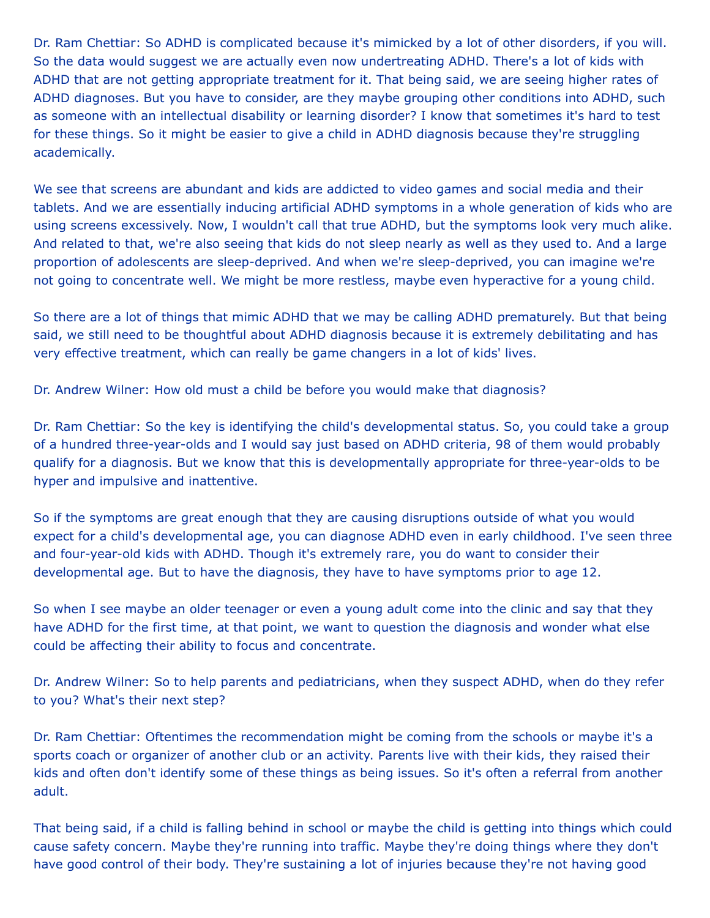Dr. Ram Chettiar: So ADHD is complicated because it's mimicked by a lot of other disorders, if you will. So the data would suggest we are actually even now undertreating ADHD. There's a lot of kids with ADHD that are not getting appropriate treatment for it. That being said, we are seeing higher rates of ADHD diagnoses. But you have to consider, are they maybe grouping other conditions into ADHD, such as someone with an intellectual disability or learning disorder? I know that sometimes it's hard to test for these things. So it might be easier to give a child in ADHD diagnosis because they're struggling academically.

We see that screens are abundant and kids are addicted to video games and social media and their tablets. And we are essentially inducing artificial ADHD symptoms in a whole generation of kids who are using screens excessively. Now, I wouldn't call that true ADHD, but the symptoms look very much alike. And related to that, we're also seeing that kids do not sleep nearly as well as they used to. And a large proportion of adolescents are sleep-deprived. And when we're sleep-deprived, you can imagine we're not going to concentrate well. We might be more restless, maybe even hyperactive for a young child.

So there are a lot of things that mimic ADHD that we may be calling ADHD prematurely. But that being said, we still need to be thoughtful about ADHD diagnosis because it is extremely debilitating and has very effective treatment, which can really be game changers in a lot of kids' lives.

Dr. Andrew Wilner: How old must a child be before you would make that diagnosis?

Dr. Ram Chettiar: So the key is identifying the child's developmental status. So, you could take a group of a hundred three-year-olds and I would say just based on ADHD criteria, 98 of them would probably qualify for a diagnosis. But we know that this is developmentally appropriate for three-year-olds to be hyper and impulsive and inattentive.

So if the symptoms are great enough that they are causing disruptions outside of what you would expect for a child's developmental age, you can diagnose ADHD even in early childhood. I've seen three and four-year-old kids with ADHD. Though it's extremely rare, you do want to consider their developmental age. But to have the diagnosis, they have to have symptoms prior to age 12.

So when I see maybe an older teenager or even a young adult come into the clinic and say that they have ADHD for the first time, at that point, we want to question the diagnosis and wonder what else could be affecting their ability to focus and concentrate.

Dr. Andrew Wilner: So to help parents and pediatricians, when they suspect ADHD, when do they refer to you? What's their next step?

Dr. Ram Chettiar: Oftentimes the recommendation might be coming from the schools or maybe it's a sports coach or organizer of another club or an activity. Parents live with their kids, they raised their kids and often don't identify some of these things as being issues. So it's often a referral from another adult.

That being said, if a child is falling behind in school or maybe the child is getting into things which could cause safety concern. Maybe they're running into traffic. Maybe they're doing things where they don't have good control of their body. They're sustaining a lot of injuries because they're not having good